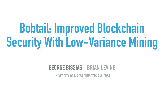# **Bobtail: Improved Blockchain Security With Low-Variance Mining**

# **GEORGE BISSIAS BRIAN LEVINE**

#### **UNIVERSITY OF MASSACHUSETTS AMHERST**

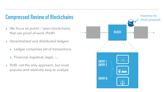#### **Compressed Review of Blockchains**





- ▸ We focus on *public* / *open* blockchains that use proof-of-work (PoW)
- ▸ *Decentralized* and *distributed* ledgers
	- ▸ Ledger comprises set of transactions
	- ▸ Financial, logistical, legal, …
- ▸ PoW: not the only approach, but most popular and relatively easy to analyze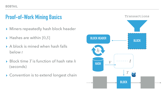### **Proof-of-Work Mining Basics**

- ▸ Miners repeatedly hash block header
- ▸ Hashes are within [0,*S*]
- ▸ A block is mined when hash falls below *t*
- ▶ Block time *T* is function of hash rate *h* (seconds)
- ▸ Convention is to extend longest chain

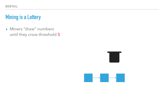▸ Miners "draw" numbers until they cross threshold 5



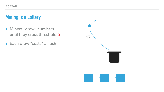- ▸ Miners "draw" numbers until they cross threshold 5
- ▸ Each draw "costs" a hash

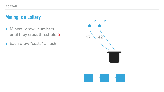- ▸ Miners "draw" numbers until they cross threshold 5
- ▸ Each draw "costs" a hash

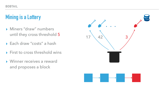- ▸ Miners "draw" numbers until they cross threshold 5
- ▸ Each draw "costs" a hash
- ▸ First to cross threshold wins
- ▸ Winner receives a reward and proposes a block

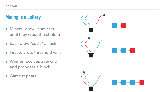- ▸ Miners "draw" numbers until they cross threshold 5
- ▸ Each draw "costs" a hash
- ▸ First to cross threshold wins
- ▸ Winner receives a reward and proposes a block
- ▸ Game repeats

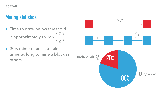#### **Mining statistics**

- ▸ Time to draw below threshold is approximately Expon ( *T q* )
- ▸ 20% miner expects to take 4 times as long to mine a block as others



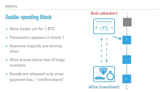#### **Double-spending Attack**

- ▶ Alice trades car for 1 BTC
- ▶ Transaction appears in block 1
- ▸ Assumes majority are mining chain
- ▸ Alice knows about law of large numbers
- ▸ Goods are released only once payment has *z* "confirmations"

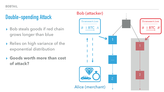### **Double-spending Attack**

- ▸ Bob steals goods if red chain grows longer than blue
- ▸ Relies on high variance of the exponential distribution
- ▸ **Goods worth more than cost of attack?**



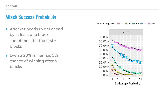#### **Attack Success Probability**

- ▸ Attacker needs to get ahead by at least one block sometime after the first *z* blocks
- ▸ Even a 20% miner has 5% chance of winning after 6 blocks



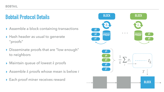#### **Bobtail Protocol Details**

- ▶ Assemble a block containing transactions
- ▸ Hash header as usual to generate "proofs"
- ▸ Disseminate proofs that are "low enough" to neighbors
- $\blacktriangleright$  Maintain queue of lowest  $k$  proofs
- $\rightarrow$  Assemble  $k$  proofs whose mean is below  $t$
- ▶ Each proof miner receives reward

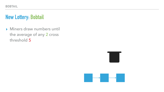▸ Miners draw numbers until the average of any 2 cross threshold 5



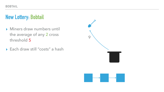

- ▸ Miners draw numbers until the average of any 2 cross threshold 5
- ▸ Each draw still "costs" a hash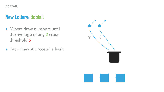

- ▸ Miners draw numbers until the average of any 2 cross threshold 5
- ▸ Each draw still "costs" a hash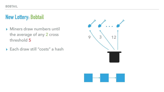

- ▸ Miners draw numbers until the average of any 2 cross threshold 5
- ▸ Each draw still "costs" a hash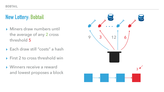- ▸ Miners draw numbers until the average of any 2 cross threshold 5
- ▸ Each draw still "costs" a hash
- ▸ First 2 to cross threshold win
- ▸ Winners receive a reward and lowest proposes a block

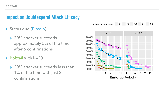## **Impact on Doublespend Attack Efficacy**

- ▶ Status quo (Bitcoin)
	- ▶ 20% attacker succeeds approximately 5% of the time after 6 confirmations 80.0%
- ▸ Bobtail with k=20
- ▶ 20% attacker succeeds less than 1% of the time with just 2 confirmations  $\overline{\phantom{0}}$  $\overline{\phantom{a}}$ Probe. of successive doublet



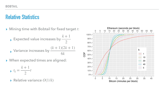#### **Relative Statistics**

▶ Mining time with Bobtail for fixed target t:

▸ When expected times are aligned:

▸ Expected value increases by ▸ Variance increases by *k* + 1 2  $(k + 1)(2k + 1)$ 6*k*

$$
\bullet \quad t_k = \frac{k+1}{2}t
$$

▸ Relative variance *O*(1/*k*)

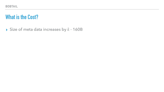#### **What is the Cost?**

#### ▸ Size of meta data increases by *k* ⋅ 160B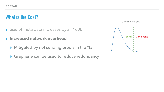- ▸ Size of meta data increases by 160B *k* ⋅
- ▸ **Increased network overhead** 
	- ▸ Mitigated by not sending proofs in the "tail"
	- ▶ Graphene can be used to reduce redundancy

#### **What is the Cost?**

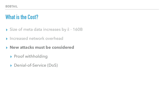#### **What is the Cost?**

- ▸ Size of meta data increases by 160B *k* ⋅
- ▸ Increased network overhead
- ▸ **New attacks must be considered** 
	- ▸ Proof withholding
	- ▸ Denial-of-Service (DoS)